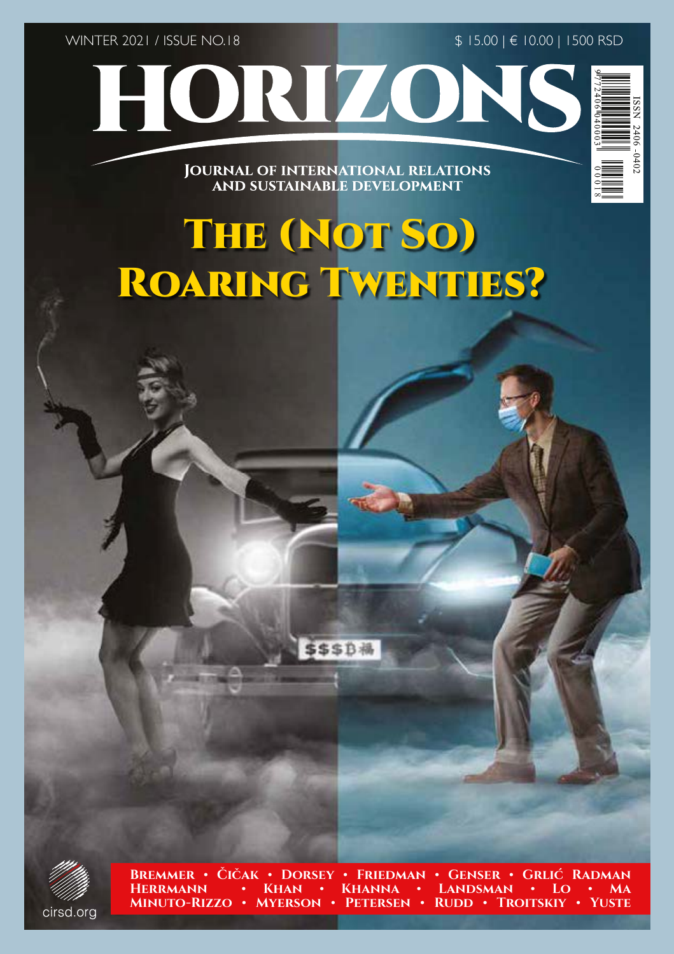WINTER 2021 / ISSUE NO.18

\$ 15.00 | € 10.00 | 1500 RSD



**JOURNAL OF INTERNATIONAL RELATIONS** 

# **MINUTO-RIZZO • MYERSON • PETERSEN • RUDDER • CICAE • DORSEY**<br>
MESSENGER • CICAE • DORSEY • FRIEDMAN • GENERAL • GENERAL • CICAE<br>
HERBEARANDER • CICAE • DORSEY • FRIEDMAN • GENERAL • GENERAL • GENERAL • GENERAL • GENERAL • THE (NOT SO) ROARING TWENTIES?



**Bremmer • Čičak • Dorsey • Friedman • Genser • Grlić Radman Herrmann • Khan • Khanna • Landsman • Lo • Ma**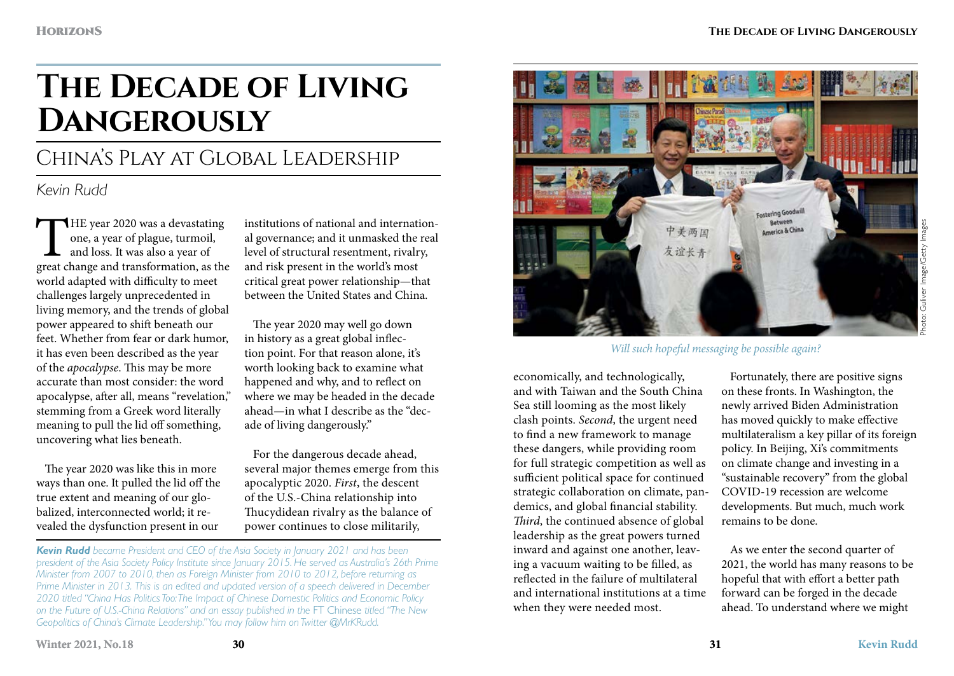# **The Decade of Living Dangerously**

# China's Play at Global Leadership

# *Kevin Rudd*

THE year 2020 was a devastating<br>
one, a year of plague, turmoil,<br>
and loss. It was also a year of<br>
great change and transformation, as the one, a year of plague, turmoil, and loss. It was also a year of world adapted with difficulty to meet challenges largely unprecedented in living memory, and the trends of global power appeared to shift beneath our feet. Whether from fear or dark humor, it has even been described as the year of the *apocalypse*. This may be more accurate than most consider: the word apocalypse, after all, means "revelation," stemming from a Greek word literally meaning to pull the lid off something, uncovering what lies beneath.

The year 2020 was like this in more ways than one. It pulled the lid off the true extent and meaning of our globalized, interconnected world; it revealed the dysfunction present in our

institutions of national and international governance; and it unmasked the real level of structural resentment, rivalry, and risk present in the world's most critical great power relationship—that between the United States and China.

The year 2020 may well go down in history as a great global inflection point. For that reason alone, it's worth looking back to examine what happened and why, and to reflect on where we may be headed in the decade ahead—in what I describe as the "decade of living dangerously."

For the dangerous decade ahead, several major themes emerge from this apocalyptic 2020. *First*, the descent of the U.S.-China relationship into Thucydidean rivalry as the balance of power continues to close militarily,



*Will such hopeful messaging be possible again?*

economically, and technologically, and with Taiwan and the South China Sea still looming as the most likely clash points. *Second*, the urgent need to find a new framework to manage these dangers, while providing room for full strategic competition as well as sufficient political space for continued strategic collaboration on climate, pandemics, and global financial stability. *Third*, the continued absence of global leadership as the great powers turned inward and against one another, leaving a vacuum waiting to be filled, as reflected in the failure of multilateral and international institutions at a time when they were needed most.

Fortunately, there are positive signs on these fronts. In Washington, the newly arrived Biden Administration has moved quickly to make effective multilateralism a key pillar of its foreign policy. In Beijing, Xi's commitments on climate change and investing in a "sustainable recovery" from the global COVID-19 recession are welcome developments. But much, much work remains to be done.

As we enter the second quarter of 2021, the world has many reasons to be hopeful that with effort a better path forward can be forged in the decade ahead. To understand where we might

*Kevin Rudd became President and CEO of the Asia Society in January 2021 and has been president of the Asia Society Policy Institute since January 2015. He served as Australia's 26th Prime Minister from 2007 to 2010, then as Foreign Minister from 2010 to 2012, before returning as Prime Minister in 2013. This is an edited and updated version of a speech delivered in December 2020 titled "China Has Politics Too: The Impact of Chinese Domestic Politics and Economic Policy on the Future of U.S.-China Relations" and an essay published in the* FT Chinese *titled "The New Geopolitics of China's Climate Leadership." You may follow him on Twitter @MrKRudd.*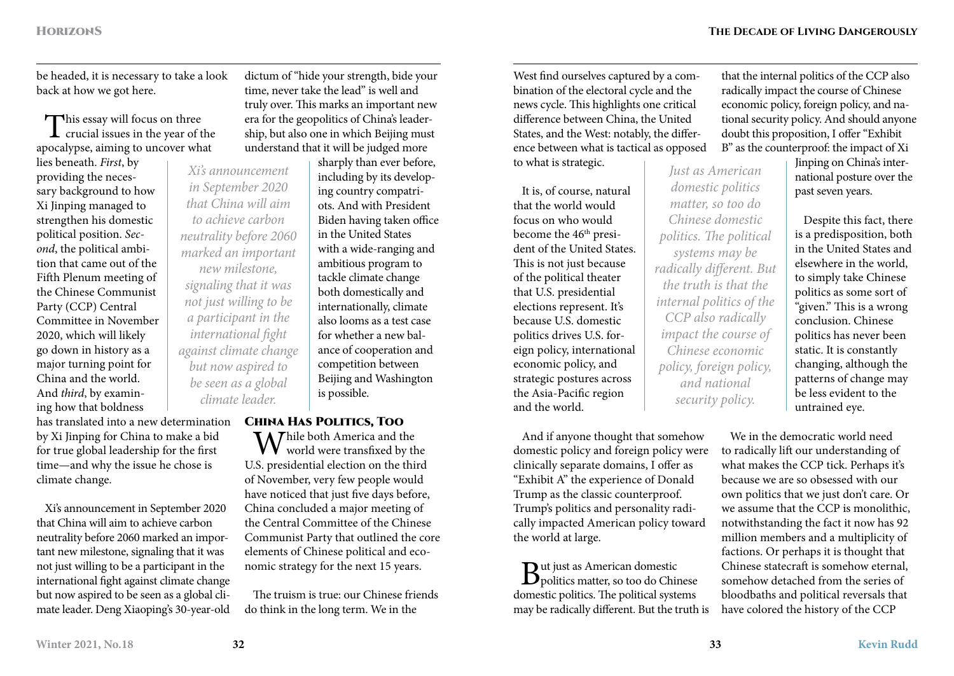be headed, it is necessary to take a look back at how we got here.

This essay will focus on three crucial issues in the year of the apocalypse, aiming to uncover what

lies beneath. *First*, by providing the necessary background to how Xi Jinping managed to strengthen his domestic political position. *Second*, the political ambition that came out of the Fifth Plenum meeting of the Chinese Communist Party (CCP) Central Committee in November 2020, which will likely go down in history as a major turning point for China and the world. And *third*, by examining how that boldness

has translated into a new determination by Xi Jinping for China to make a bid for true global leadership for the first time—and why the issue he chose is climate change. *climate leader.*

Xi's announcement in September 2020 that China will aim to achieve carbon neutrality before 2060 marked an important new milestone, signaling that it was not just willing to be a participant in the international fight against climate change but now aspired to be seen as a global climate leader. Deng Xiaoping's 30-year-old dictum of "hide your strength, bide your time, never take the lead" is well and truly over. This marks an important new era for the geopolitics of China's leadership, but also one in which Beijing must understand that it will be judged more

sharply than ever before, including by its developing country compatriots. And with President Biden having taken office in the United States with a wide-ranging and ambitious program to tackle climate change both domestically and internationally, climate also looms as a test case for whether a new balance of cooperation and competition between Beijing and Washington is possible.

### China Has Politics, Too

My hile both America and the  $VV$  world were transfixed by the U.S. presidential election on the third of November, very few people would have noticed that just five days before, China concluded a major meeting of the Central Committee of the Chinese Communist Party that outlined the core elements of Chinese political and economic strategy for the next 15 years.

The truism is true: our Chinese friends do think in the long term. We in the

West find ourselves captured by a combination of the electoral cycle and the news cycle. This highlights one critical difference between China, the United States, and the West: notably, the difference between what is tactical as opposed to what is strategic. *Just as American* 

It is, of course, natural that the world would focus on who would become the 46<sup>th</sup> president of the United States. This is not just because of the political theater that U.S. presidential elections represent. It's because U.S. domestic politics drives U.S. foreign policy, international economic policy, and strategic postures across the Asia-Pacific region and the world.

And if anyone thought that somehow domestic policy and foreign policy were clinically separate domains, I offer as "Exhibit A" the experience of Donald Trump as the classic counterproof. Trump's politics and personality radically impacted American policy toward the world at large.

But just as American domestic politics matter, so too do Chinese domestic politics. The political systems may be radically different. But the truth is that the internal politics of the CCP also radically impact the course of Chinese economic policy, foreign policy, and national security policy. And should anyone doubt this proposition, I offer "Exhibit B" as the counterproof: the impact of Xi

> Jinping on China's international posture over the past seven years.

Despite this fact, there is a predisposition, both in the United States and elsewhere in the world, to simply take Chinese politics as some sort of "given." This is a wrong conclusion. Chinese politics has never been static. It is constantly changing, although the patterns of change may be less evident to the untrained eye.

We in the democratic world need to radically lift our understanding of what makes the CCP tick. Perhaps it's because we are so obsessed with our own politics that we just don't care. Or we assume that the CCP is monolithic, notwithstanding the fact it now has 92 million members and a multiplicity of factions. Or perhaps it is thought that Chinese statecraft is somehow eternal, somehow detached from the series of bloodbaths and political reversals that have colored the history of the CCP

*Xi's announcement in September 2020 that China will aim to achieve carbon neutrality before 2060 marked an important new milestone, signaling that it was not just willing to be a participant in the international fight against climate change but now aspired to be seen as a global* 

*domestic politics matter, so too do Chinese domestic politics. The political systems may be radically different. But the truth is that the internal politics of the CCP also radically impact the course of Chinese economic policy, foreign policy, and national security policy.*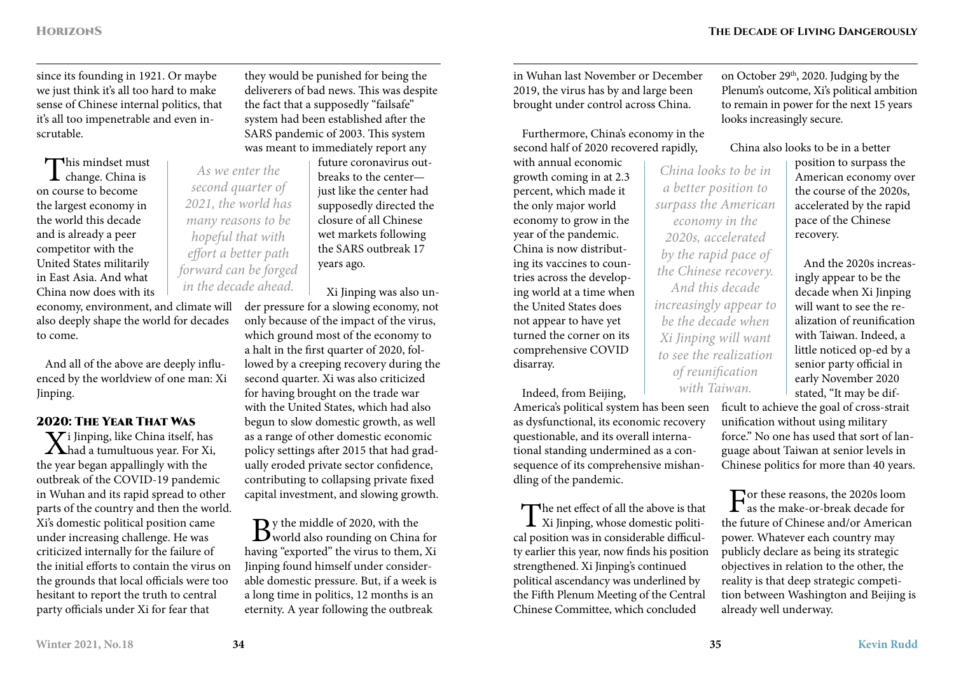since its founding in 1921. Or maybe we just think it's all too hard to make sense of Chinese internal politics, that it's all too impenetrable and even inscrutable.

This mindset must change. China is on course to become the largest economy in the world this decade and is already a peer competitor with the United States militarily in East Asia. And what China now does with its

*As we enter the second quarter of 2021, the world has many reasons to be hopeful that with effort a better path forward can be forged in the decade ahead.*

economy, environment, and climate will der pressure for a slowing economy, not also deeply shape the world for decades to come.

And all of the above are deeply influenced by the worldview of one man: Xi Jinping.

## 2020: The Year That Was

 $\mathbf V$ i Jinping, like China itself, has  $\Lambda$ had a tumultuous year. For Xi, the year began appallingly with the outbreak of the COVID-19 pandemic in Wuhan and its rapid spread to other parts of the country and then the world. Xi's domestic political position came under increasing challenge. He was criticized internally for the failure of the initial efforts to contain the virus on the grounds that local officials were too hesitant to report the truth to central party officials under Xi for fear that

they would be punished for being the deliverers of bad news. This was despite the fact that a supposedly "failsafe" system had been established after the SARS pandemic of 2003. This system was meant to immediately report any

> future coronavirus outbreaks to the center just like the center had supposedly directed the closure of all Chinese wet markets following the SARS outbreak 17 years ago.

Xi Jinping was also un-

only because of the impact of the virus, which ground most of the economy to a halt in the first quarter of 2020, followed by a creeping recovery during the second quarter. Xi was also criticized for having brought on the trade war with the United States, which had also begun to slow domestic growth, as well as a range of other domestic economic policy settings after 2015 that had gradually eroded private sector confidence, contributing to collapsing private fixed capital investment, and slowing growth.

 $B$ y the middle of 2020, with the world also rounding on China for having "exported" the virus to them, Xi Jinping found himself under considerable domestic pressure. But, if a week is a long time in politics, 12 months is an eternity. A year following the outbreak

in Wuhan last November or December 2019, the virus has by and large been brought under control across China.

Furthermore, China's economy in the second half of 2020 recovered rapidly,

with annual economic growth coming in at 2.3 percent, which made it the only major world economy to grow in the year of the pandemic. China is now distributing its vaccines to countries across the developing world at a time when the United States does not appear to have yet turned the corner on its comprehensive COVID disarray.

Indeed, from Beijing,

America's political system has been seen as dysfunctional, its economic recovery questionable, and its overall international standing undermined as a consequence of its comprehensive mishandling of the pandemic.

The net effect of all the above is that<br>Xi Jinping, whose domestic political position was in considerable difficulty earlier this year, now finds his position strengthened. Xi Jinping's continued political ascendancy was underlined by the Fifth Plenum Meeting of the Central Chinese Committee, which concluded

on October 29<sup>th</sup>, 2020. Judging by the Plenum's outcome, Xi's political ambition to remain in power for the next 15 years looks increasingly secure.

China also looks to be in a better

*China looks to be in a better position to surpass the American economy in the 2020s, accelerated by the rapid pace of the Chinese recovery. And this decade increasingly appear to be the decade when Xi Jinping will want to see the realization of reunification with Taiwan.*

position to surpass the American economy over the course of the 2020s, accelerated by the rapid pace of the Chinese recovery.

And the 2020s increasingly appear to be the decade when Xi Jinping will want to see the realization of reunification with Taiwan. Indeed, a little noticed op-ed by a senior party official in early November 2020 stated, "It may be dif-

ficult to achieve the goal of cross-strait unification without using military force." No one has used that sort of language about Taiwan at senior levels in Chinese politics for more than 40 years.

 $\Gamma_{\text{as the make-or-beak decade for}}$ the future of Chinese and/or American power. Whatever each country may publicly declare as being its strategic objectives in relation to the other, the reality is that deep strategic competition between Washington and Beijing is already well underway.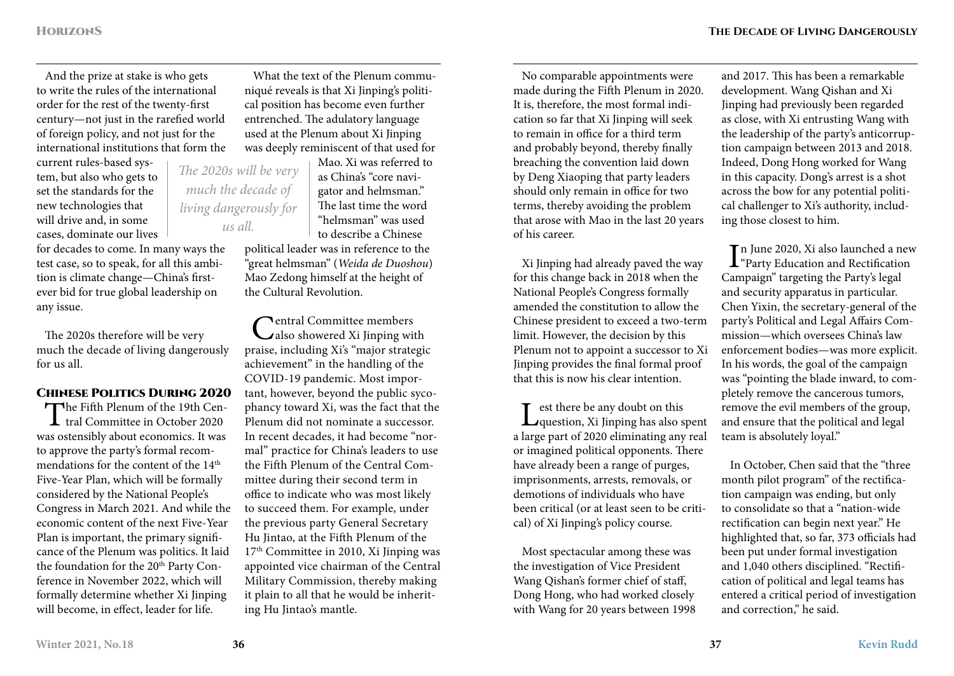And the prize at stake is who gets to write the rules of the international order for the rest of the twenty-first century—not just in the rarefied world of foreign policy, and not just for the international institutions that form the

current rules-based system, but also who gets to set the standards for the new technologies that will drive and, in some cases, dominate our lives

for decades to come. In many ways the test case, so to speak, for all this ambition is climate change—China's firstever bid for true global leadership on any issue.

The 2020s therefore will be very much the decade of living dangerously for us all.

### Chinese Politics During 2020

The Fifth Plenum of the 19th Cen-**L** tral Committee in October 2020 was ostensibly about economics. It was to approve the party's formal recommendations for the content of the 14<sup>th</sup> Five-Year Plan, which will be formally considered by the National People's Congress in March 2021. And while the economic content of the next Five-Year Plan is important, the primary significance of the Plenum was politics. It laid the foundation for the 20<sup>th</sup> Party Conference in November 2022, which will formally determine whether Xi Jinping will become, in effect, leader for life.

What the text of the Plenum communiqué reveals is that Xi Jinping's political position has become even further entrenched. The adulatory language used at the Plenum about Xi Jinping was deeply reminiscent of that used for

> Mao. Xi was referred to as China's "core navigator and helmsman." The last time the word "helmsman" was used to describe a Chinese

political leader was in reference to the "great helmsman" (*Weida de Duoshou*) Mao Zedong himself at the height of the Cultural Revolution.

Central Committee members<br>
Calso showered Xi Jinping with praise, including Xi's "major strategic achievement" in the handling of the COVID-19 pandemic. Most important, however, beyond the public sycophancy toward Xi, was the fact that the Plenum did not nominate a successor. In recent decades, it had become "normal" practice for China's leaders to use the Fifth Plenum of the Central Committee during their second term in office to indicate who was most likely to succeed them. For example, under the previous party General Secretary Hu Jintao, at the Fifth Plenum of the 17th Committee in 2010, Xi Jinping was appointed vice chairman of the Central Military Commission, thereby making it plain to all that he would be inheriting Hu Jintao's mantle.

No comparable appointments were made during the Fifth Plenum in 2020. It is, therefore, the most formal indication so far that Xi Jinping will seek to remain in office for a third term and probably beyond, thereby finally breaching the convention laid down by Deng Xiaoping that party leaders should only remain in office for two terms, thereby avoiding the problem that arose with Mao in the last 20 years of his career.

Xi Jinping had already paved the way for this change back in 2018 when the National People's Congress formally amended the constitution to allow the Chinese president to exceed a two-term limit. However, the decision by this Plenum not to appoint a successor to Xi Jinping provides the final formal proof that this is now his clear intention.

Lest there be any doubt on this<br>
question, Xi Jinping has also spent a large part of 2020 eliminating any real or imagined political opponents. There have already been a range of purges, imprisonments, arrests, removals, or demotions of individuals who have been critical (or at least seen to be critical) of Xi Jinping's policy course.

Most spectacular among these was the investigation of Vice President Wang Qishan's former chief of staff, Dong Hong, who had worked closely with Wang for 20 years between 1998

and 2017. This has been a remarkable development. Wang Qishan and Xi Jinping had previously been regarded as close, with Xi entrusting Wang with the leadership of the party's anticorruption campaign between 2013 and 2018. Indeed, Dong Hong worked for Wang in this capacity. Dong's arrest is a shot across the bow for any potential political challenger to Xi's authority, including those closest to him.

In June 2020, Xi also launched a nev<br>
"Party Education and Rectification"<br>
International be Date's land n June 2020, Xi also launched a new Campaign" targeting the Party's legal and security apparatus in particular. Chen Yixin, the secretary-general of the party's Political and Legal Affairs Commission—which oversees China's law enforcement bodies—was more explicit. In his words, the goal of the campaign was "pointing the blade inward, to completely remove the cancerous tumors, remove the evil members of the group, and ensure that the political and legal team is absolutely loyal."

In October, Chen said that the "three month pilot program" of the rectification campaign was ending, but only to consolidate so that a "nation-wide rectification can begin next year." He highlighted that, so far, 373 officials had been put under formal investigation and 1,040 others disciplined. "Rectification of political and legal teams has entered a critical period of investigation and correction," he said.

*The 2020s will be very much the decade of living dangerously for us all.*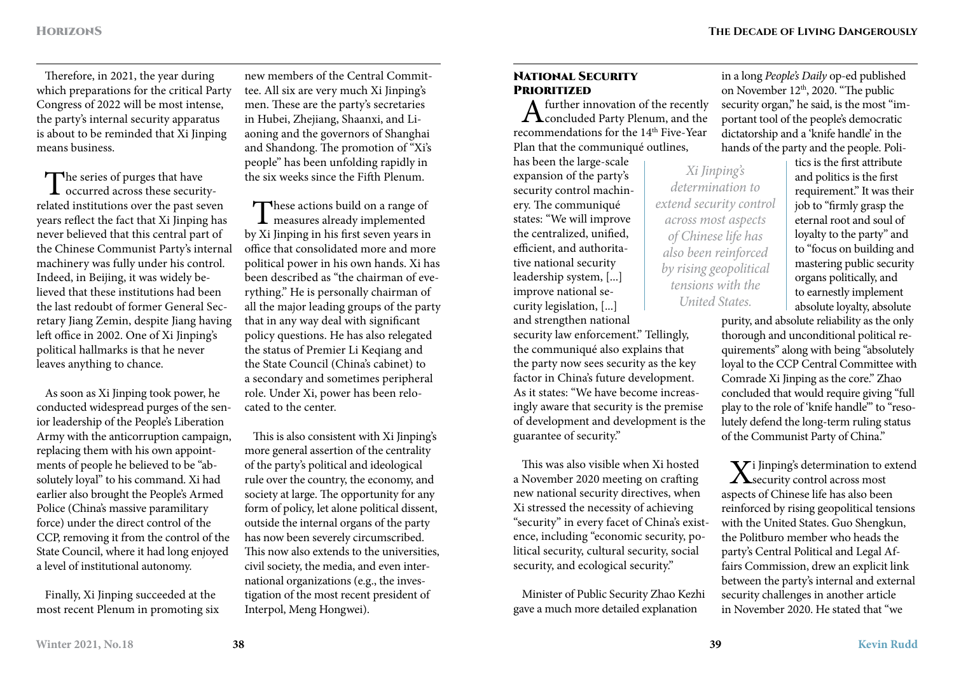Therefore, in 2021, the year during which preparations for the critical Party Congress of 2022 will be most intense, the party's internal security apparatus is about to be reminded that Xi Jinping means business.

The series of purges that have<br>occurred across these securityrelated institutions over the past seven years reflect the fact that Xi Jinping has never believed that this central part of the Chinese Communist Party's internal machinery was fully under his control. Indeed, in Beijing, it was widely believed that these institutions had been the last redoubt of former General Secretary Jiang Zemin, despite Jiang having left office in 2002. One of Xi Jinping's political hallmarks is that he never leaves anything to chance.

As soon as Xi Jinping took power, he conducted widespread purges of the senior leadership of the People's Liberation Army with the anticorruption campaign, replacing them with his own appointments of people he believed to be "absolutely loyal" to his command. Xi had earlier also brought the People's Armed Police (China's massive paramilitary force) under the direct control of the CCP, removing it from the control of the State Council, where it had long enjoyed a level of institutional autonomy.

Finally, Xi Jinping succeeded at the most recent Plenum in promoting six

new members of the Central Committee. All six are very much Xi Jinping's men. These are the party's secretaries in Hubei, Zhejiang, Shaanxi, and Liaoning and the governors of Shanghai and Shandong. The promotion of "Xi's people" has been unfolding rapidly in the six weeks since the Fifth Plenum.

These actions build on a range of<br>measures already implemented<br>Vi Fantas in his fantas parameter by Xi Jinping in his first seven years in office that consolidated more and more political power in his own hands. Xi has been described as "the chairman of everything." He is personally chairman of all the major leading groups of the party that in any way deal with significant policy questions. He has also relegated the status of Premier Li Keqiang and the State Council (China's cabinet) to a secondary and sometimes peripheral role. Under Xi, power has been relocated to the center.

This is also consistent with Xi Jinping's more general assertion of the centrality of the party's political and ideological rule over the country, the economy, and society at large. The opportunity for any form of policy, let alone political dissent, outside the internal organs of the party has now been severely circumscribed. This now also extends to the universities, civil society, the media, and even international organizations (e.g., the investigation of the most recent president of Interpol, Meng Hongwei).

# **NATIONAL SECURITY**

**PRIORITIZED**<br> $\Lambda$  further innovation of the recently  $A<sup>further</sup> innovation of the recently concluded Party Plenum, and the$ recommendations for the 14<sup>th</sup> Five-Year Plan that the communiqué outlines,

has been the large-scale expansion of the party's security control machinery. The communiqué states: "We will improve the centralized, unified, efficient, and authoritative national security leadership system, [...] improve national security legislation, [...] and strengthen national

security law enforcement." Tellingly, the communiqué also explains that the party now sees security as the key factor in China's future development. As it states: "We have become increasingly aware that security is the premise of development and development is the guarantee of security."

This was also visible when Xi hosted a November 2020 meeting on crafting new national security directives, when Xi stressed the necessity of achieving "security" in every facet of China's existence, including "economic security, political security, cultural security, social security, and ecological security."

Minister of Public Security Zhao Kezhi gave a much more detailed explanation

in a long *People's Daily* op-ed published on November 12<sup>th</sup>, 2020. "The public security organ," he said, is the most "important tool of the people's democratic dictatorship and a 'knife handle' in the hands of the party and the people. Poli-

*Xi Jinping's determination to extend security control across most aspects of Chinese life has also been reinforced by rising geopolitical tensions with the United States.*

tics is the first attribute and politics is the first requirement." It was their job to "firmly grasp the eternal root and soul of loyalty to the party" and to "focus on building and mastering public security organs politically, and to earnestly implement absolute loyalty, absolute

purity, and absolute reliability as the only thorough and unconditional political requirements" along with being "absolutely loyal to the CCP Central Committee with Comrade Xi Jinping as the core." Zhao concluded that would require giving "full play to the role of 'knife handle'" to "resolutely defend the long-term ruling status of the Communist Party of China."

V i Jinping's determination to extend  $\Lambda$ security control across most aspects of Chinese life has also been reinforced by rising geopolitical tensions with the United States. Guo Shengkun, the Politburo member who heads the party's Central Political and Legal Affairs Commission, drew an explicit link between the party's internal and external security challenges in another article in November 2020. He stated that "we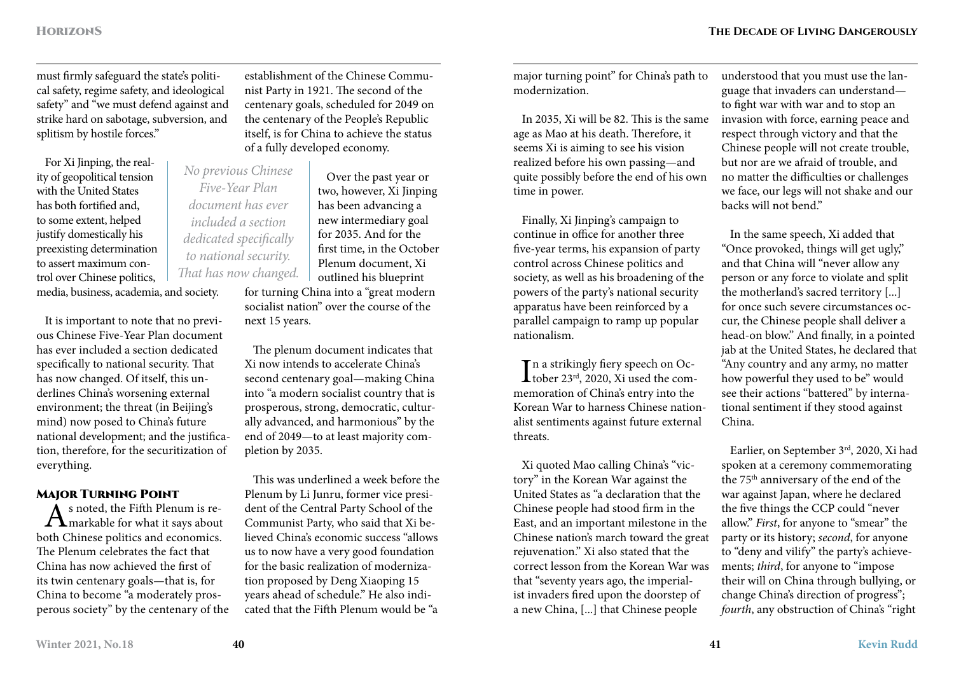must firmly safeguard the state's political safety, regime safety, and ideological safety" and "we must defend against and strike hard on sabotage, subversion, and splitism by hostile forces."

For Xi Jinping, the reality of geopolitical tension with the United States has both fortified and, to some extent, helped justify domestically his preexisting determination to assert maximum control over Chinese politics, media, business, academia, and society.

It is important to note that no previous Chinese Five-Year Plan document has ever included a section dedicated specifically to national security. That has now changed. Of itself, this underlines China's worsening external environment; the threat (in Beijing's mind) now posed to China's future national development; and the justification, therefore, for the securitization of everything.

**MAJOR TURNING POINT**<br> $\Lambda$  s noted, the Fifth Plenum is re- $A<sub>s</sub>$  noted, the Fifth Plenum is re-<br>
the Chinage and it is a gap about both Chinese politics and economics. The Plenum celebrates the fact that China has now achieved the first of its twin centenary goals—that is, for China to become "a moderately prosperous society" by the centenary of the

establishment of the Chinese Communist Party in 1921. The second of the centenary goals, scheduled for 2049 on the centenary of the People's Republic itself, is for China to achieve the status of a fully developed economy.

Over the past year or two, however, Xi Jinping has been advancing a new intermediary goal for 2035. And for the first time, in the October Plenum document, Xi outlined his blueprint for turning China into a "great modern socialist nation" over the course of the next 15 years. *No previous Chinese Five-Year Plan document has ever included a section dedicated specifically to national security. That has now changed.*

> The plenum document indicates that Xi now intends to accelerate China's second centenary goal—making China into "a modern socialist country that is prosperous, strong, democratic, culturally advanced, and harmonious" by the end of 2049—to at least majority completion by 2035.

This was underlined a week before the Plenum by Li Junru, former vice president of the Central Party School of the Communist Party, who said that Xi believed China's economic success "allows us to now have a very good foundation for the basic realization of modernization proposed by Deng Xiaoping 15 years ahead of schedule." He also indicated that the Fifth Plenum would be "a

major turning point" for China's path to modernization.

In 2035, Xi will be 82. This is the same age as Mao at his death. Therefore, it seems Xi is aiming to see his vision realized before his own passing—and quite possibly before the end of his own time in power.

Finally, Xi Jinping's campaign to continue in office for another three five-year terms, his expansion of party control across Chinese politics and society, as well as his broadening of the powers of the party's national security apparatus have been reinforced by a parallel campaign to ramp up popular nationalism.

 $\prod$ n a strikingly fiery speech on Oc-<br>tober 23<sup>rd</sup>, 2020, Xi used the com-**L** tober 23<sup>rd</sup>, 2020, Xi used the commemoration of China's entry into the Korean War to harness Chinese nationalist sentiments against future external threats.

Xi quoted Mao calling China's "victory" in the Korean War against the United States as "a declaration that the Chinese people had stood firm in the East, and an important milestone in the Chinese nation's march toward the great rejuvenation." Xi also stated that the correct lesson from the Korean War was that "seventy years ago, the imperialist invaders fired upon the doorstep of a new China, [...] that Chinese people

understood that you must use the language that invaders can understand to fight war with war and to stop an invasion with force, earning peace and respect through victory and that the Chinese people will not create trouble, but nor are we afraid of trouble, and no matter the difficulties or challenges we face, our legs will not shake and our backs will not bend."

In the same speech, Xi added that "Once provoked, things will get ugly," and that China will "never allow any person or any force to violate and split the motherland's sacred territory [...] for once such severe circumstances occur, the Chinese people shall deliver a head-on blow." And finally, in a pointed jab at the United States, he declared that "Any country and any army, no matter how powerful they used to be" would see their actions "battered" by international sentiment if they stood against China.

Earlier, on September 3rd, 2020, Xi had spoken at a ceremony commemorating the 75<sup>th</sup> anniversary of the end of the war against Japan, where he declared the five things the CCP could "never allow." *First*, for anyone to "smear" the party or its history; *second*, for anyone to "deny and vilify" the party's achievements; *third*, for anyone to "impose their will on China through bullying, or change China's direction of progress"; *fourth*, any obstruction of China's "right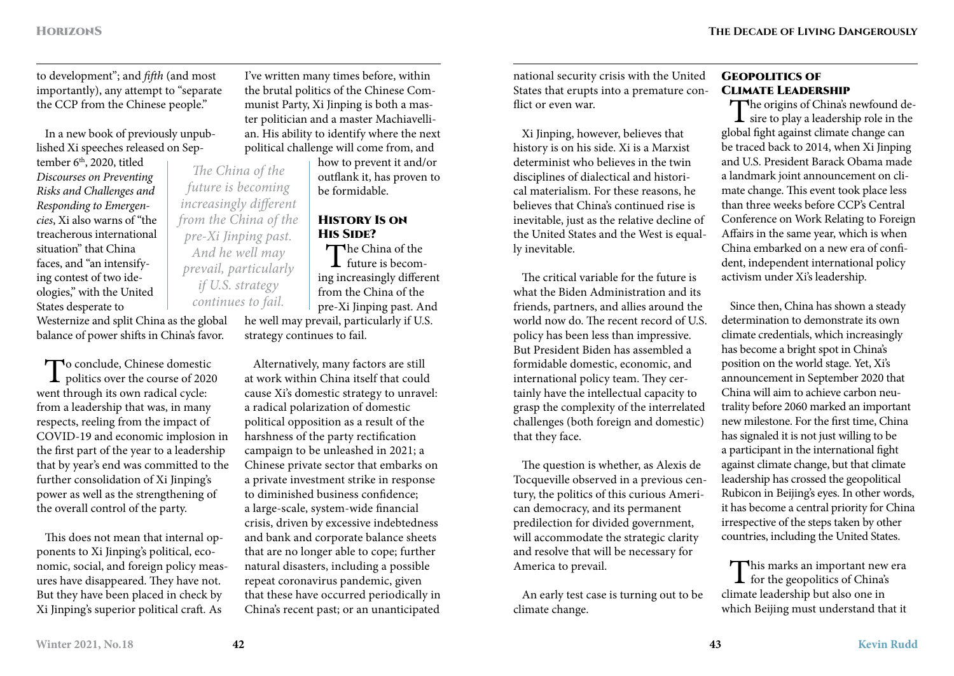to development"; and *fifth* (and most importantly), any attempt to "separate the CCP from the Chinese people."

In a new book of previously unpublished Xi speeches released on Sep-

tember 6<sup>th</sup>, 2020, titled *Discourses on Preventing Risks and Challenges and Responding to Emergencies*, Xi also warns of "the treacherous international situation" that China faces, and "an intensifying contest of two ideologies," with the United States desperate to

*The China of the future is becoming increasingly different from the China of the pre-Xi Jinping past. And he well may prevail, particularly if U.S. strategy continues to fail.*

Westernize and split China as the global balance of power shifts in China's favor.

To conclude, Chinese domestic politics over the course of 2020 went through its own radical cycle: from a leadership that was, in many respects, reeling from the impact of COVID-19 and economic implosion in the first part of the year to a leadership that by year's end was committed to the further consolidation of Xi Jinping's power as well as the strengthening of the overall control of the party.

This does not mean that internal opponents to Xi Jinping's political, economic, social, and foreign policy measures have disappeared. They have not. But they have been placed in check by Xi Jinping's superior political craft. As

I've written many times before, within the brutal politics of the Chinese Communist Party, Xi Jinping is both a master politician and a master Machiavellian. His ability to identify where the next political challenge will come from, and

> how to prevent it and/or outflank it, has proven to be formidable.

### History Is on His Side?

The China of the  $\perp$  future is becoming increasingly different from the China of the pre-Xi Jinping past. And he well may prevail, particularly if U.S. strategy continues to fail.

Alternatively, many factors are still at work within China itself that could cause Xi's domestic strategy to unravel: a radical polarization of domestic political opposition as a result of the harshness of the party rectification campaign to be unleashed in 2021; a Chinese private sector that embarks on a private investment strike in response to diminished business confidence; a large-scale, system-wide financial crisis, driven by excessive indebtedness and bank and corporate balance sheets that are no longer able to cope; further natural disasters, including a possible repeat coronavirus pandemic, given that these have occurred periodically in China's recent past; or an unanticipated

national security crisis with the United States that erupts into a premature conflict or even war.

Xi Jinping, however, believes that history is on his side. Xi is a Marxist determinist who believes in the twin disciplines of dialectical and historical materialism. For these reasons, he believes that China's continued rise is inevitable, just as the relative decline of the United States and the West is equally inevitable.

The critical variable for the future is what the Biden Administration and its friends, partners, and allies around the world now do. The recent record of U.S. policy has been less than impressive. But President Biden has assembled a formidable domestic, economic, and international policy team. They certainly have the intellectual capacity to grasp the complexity of the interrelated challenges (both foreign and domestic) that they face.

The question is whether, as Alexis de Tocqueville observed in a previous century, the politics of this curious American democracy, and its permanent predilection for divided government, will accommodate the strategic clarity and resolve that will be necessary for America to prevail.

An early test case is turning out to be climate change.

### Geopolitics of Climate Leadership

The origins of China's newfound de-<br>sire to play a leadership role in the global fight against climate change can be traced back to 2014, when Xi Jinping and U.S. President Barack Obama made a landmark joint announcement on climate change. This event took place less than three weeks before CCP's Central Conference on Work Relating to Foreign Affairs in the same year, which is when China embarked on a new era of confident, independent international policy activism under Xi's leadership.

Since then, China has shown a steady determination to demonstrate its own climate credentials, which increasingly has become a bright spot in China's position on the world stage. Yet, Xi's announcement in September 2020 that China will aim to achieve carbon neutrality before 2060 marked an important new milestone. For the first time, China has signaled it is not just willing to be a participant in the international fight against climate change, but that climate leadership has crossed the geopolitical Rubicon in Beijing's eyes. In other words, it has become a central priority for China irrespective of the steps taken by other countries, including the United States.

This marks an important new era<br>for the geopolitics of China's climate leadership but also one in which Beijing must understand that it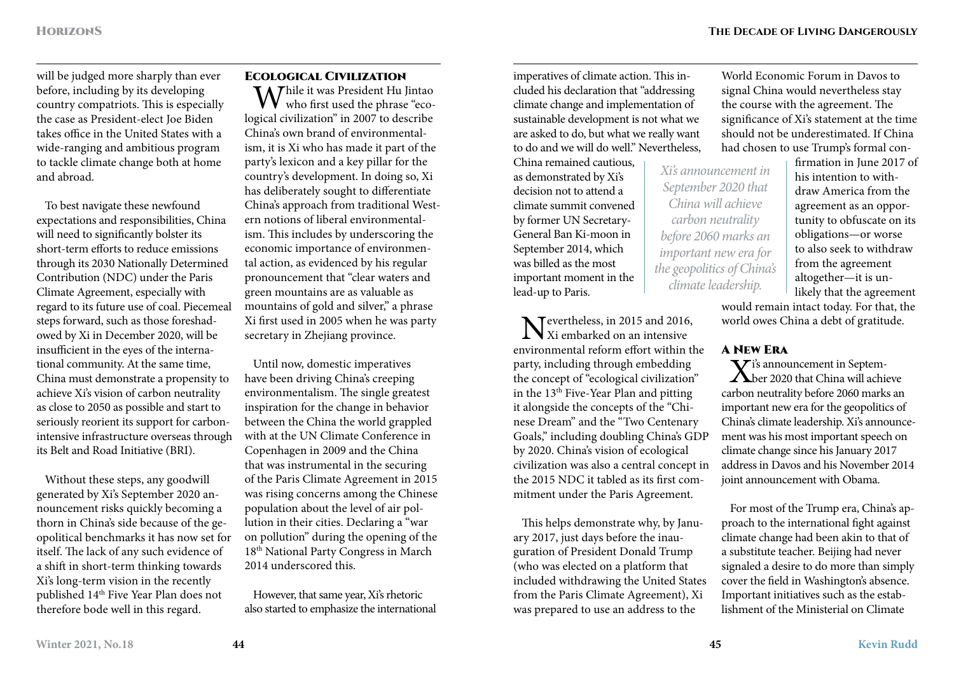will be judged more sharply than ever before, including by its developing country compatriots. This is especially the case as President-elect Joe Biden takes office in the United States with a wide-ranging and ambitious program to tackle climate change both at home and abroad.

To best navigate these newfound expectations and responsibilities, China will need to significantly bolster its short-term efforts to reduce emissions through its 2030 Nationally Determined Contribution (NDC) under the Paris Climate Agreement, especially with regard to its future use of coal. Piecemeal steps forward, such as those foreshadowed by Xi in December 2020, will be insufficient in the eyes of the international community. At the same time, China must demonstrate a propensity to achieve Xi's vision of carbon neutrality as close to 2050 as possible and start to seriously reorient its support for carbonintensive infrastructure overseas through its Belt and Road Initiative (BRI).

Without these steps, any goodwill generated by Xi's September 2020 announcement risks quickly becoming a thorn in China's side because of the geopolitical benchmarks it has now set for itself. The lack of any such evidence of a shift in short-term thinking towards Xi's long-term vision in the recently published 14th Five Year Plan does not therefore bode well in this regard.

### Ecological Civilization

Thile it was President Hu Jintao who first used the phrase "ecological civilization" in 2007 to describe China's own brand of environmentalism, it is Xi who has made it part of the party's lexicon and a key pillar for the country's development. In doing so, Xi has deliberately sought to differentiate China's approach from traditional Western notions of liberal environmentalism. This includes by underscoring the economic importance of environmental action, as evidenced by his regular pronouncement that "clear waters and green mountains are as valuable as mountains of gold and silver," a phrase Xi first used in 2005 when he was party secretary in Zhejiang province.

Until now, domestic imperatives have been driving China's creeping environmentalism. The single greatest inspiration for the change in behavior between the China the world grappled with at the UN Climate Conference in Copenhagen in 2009 and the China that was instrumental in the securing of the Paris Climate Agreement in 2015 was rising concerns among the Chinese population about the level of air pollution in their cities. Declaring a "war on pollution" during the opening of the 18th National Party Congress in March 2014 underscored this.

However, that same year, Xi's rhetoric also started to emphasize the international

imperatives of climate action. This included his declaration that "addressing climate change and implementation of sustainable development is not what we are asked to do, but what we really want to do and we will do well." Nevertheless,

China remained cautious, as demonstrated by Xi's decision not to attend a climate summit convened by former UN Secretary-General Ban Ki-moon in September 2014, which was billed as the most important moment in the lead-up to Paris.

Nevertheless, in 2015 and 2016,  $\sum$  Xi embarked on an intensive environmental reform effort within the party, including through embedding the concept of "ecological civilization" in the 13<sup>th</sup> Five-Year Plan and pitting it alongside the concepts of the "Chinese Dream" and the "Two Centenary Goals," including doubling China's GDP by 2020. China's vision of ecological civilization was also a central concept in the 2015 NDC it tabled as its first commitment under the Paris Agreement.

This helps demonstrate why, by January 2017, just days before the inauguration of President Donald Trump (who was elected on a platform that included withdrawing the United States from the Paris Climate Agreement), Xi was prepared to use an address to the

World Economic Forum in Davos to signal China would nevertheless stay the course with the agreement. The significance of Xi's statement at the time should not be underestimated. If China had chosen to use Trump's formal con-

*Xi's announcement in September 2020 that China will achieve carbon neutrality before 2060 marks an important new era for the geopolitics of China's climate leadership.*

firmation in June 2017 of his intention to withdraw America from the agreement as an opportunity to obfuscate on its obligations—or worse to also seek to withdraw from the agreement altogether—it is unlikely that the agreement

would remain intact today. For that, the world owes China a debt of gratitude.

### A New Era

 $\mathbf{\nabla}$  i's announcement in Septem-Aber 2020 that China will achieve carbon neutrality before 2060 marks an important new era for the geopolitics of China's climate leadership. Xi's announcement was his most important speech on climate change since his January 2017 address in Davos and his November 2014 joint announcement with Obama.

For most of the Trump era, China's approach to the international fight against climate change had been akin to that of a substitute teacher. Beijing had never signaled a desire to do more than simply cover the field in Washington's absence. Important initiatives such as the establishment of the Ministerial on Climate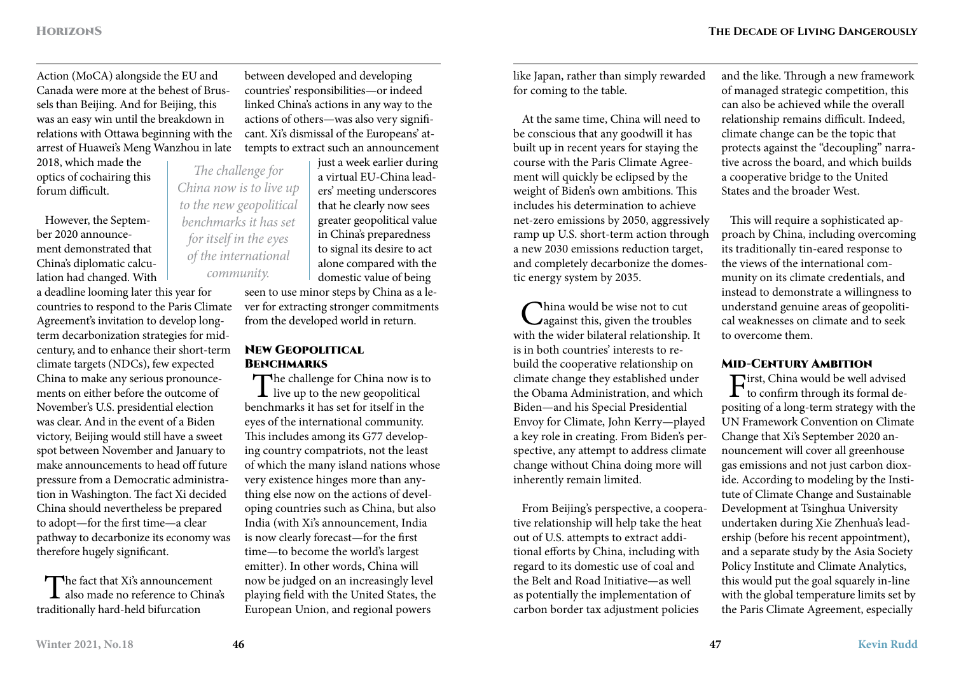Action (MoCA) alongside the EU and Canada were more at the behest of Brussels than Beijing. And for Beijing, this was an easy win until the breakdown in relations with Ottawa beginning with the arrest of Huawei's Meng Wanzhou in late

2018, which made the optics of cochairing this forum difficult.

However, the September 2020 announcement demonstrated that China's diplomatic calculation had changed. With

a deadline looming later this year for countries to respond to the Paris Climate Agreement's invitation to develop longterm decarbonization strategies for midcentury, and to enhance their short-term climate targets (NDCs), few expected China to make any serious pronouncements on either before the outcome of November's U.S. presidential election was clear. And in the event of a Biden victory, Beijing would still have a sweet spot between November and January to make announcements to head off future pressure from a Democratic administration in Washington. The fact Xi decided China should nevertheless be prepared to adopt—for the first time—a clear pathway to decarbonize its economy was therefore hugely significant.

The fact that Xi's announcement also made no reference to China's traditionally hard-held bifurcation

between developed and developing countries' responsibilities—or indeed linked China's actions in any way to the actions of others—was also very significant. Xi's dismissal of the Europeans' attempts to extract such an announcement

just a week earlier during a virtual EU-China leaders' meeting underscores that he clearly now sees greater geopolitical value in China's preparedness to signal its desire to act alone compared with the domestic value of being *The challenge for China now is to live up to the new geopolitical benchmarks it has set for itself in the eyes of the international* 

seen to use minor steps by China as a lever for extracting stronger commitments from the developed world in return.

### New Geopolitical **BENCHMARKS**

The challenge for China now is to  $\perp$  live up to the new geopolitical benchmarks it has set for itself in the eyes of the international community. This includes among its G77 developing country compatriots, not the least of which the many island nations whose very existence hinges more than anything else now on the actions of developing countries such as China, but also India (with Xi's announcement, India is now clearly forecast—for the first time—to become the world's largest emitter). In other words, China will now be judged on an increasingly level playing field with the United States, the European Union, and regional powers

like Japan, rather than simply rewarded for coming to the table.

At the same time, China will need to be conscious that any goodwill it has built up in recent years for staying the course with the Paris Climate Agreement will quickly be eclipsed by the weight of Biden's own ambitions. This includes his determination to achieve net-zero emissions by 2050, aggressively ramp up U.S. short-term action through a new 2030 emissions reduction target, and completely decarbonize the domestic energy system by 2035.

China would be wise not to cut<br>
against this, given the troubles<br>
it that it to also him him with the wider bilateral relationship. It is in both countries' interests to rebuild the cooperative relationship on climate change they established under the Obama Administration, and which Biden—and his Special Presidential Envoy for Climate, John Kerry—played a key role in creating. From Biden's perspective, any attempt to address climate change without China doing more will inherently remain limited.

From Beijing's perspective, a cooperative relationship will help take the heat out of U.S. attempts to extract additional efforts by China, including with regard to its domestic use of coal and the Belt and Road Initiative—as well as potentially the implementation of carbon border tax adjustment policies

and the like. Through a new framework of managed strategic competition, this can also be achieved while the overall relationship remains difficult. Indeed, climate change can be the topic that protects against the "decoupling" narrative across the board, and which builds a cooperative bridge to the United States and the broader West.

This will require a sophisticated approach by China, including overcoming its traditionally tin-eared response to the views of the international community on its climate credentials, and instead to demonstrate a willingness to understand genuine areas of geopolitical weaknesses on climate and to seek to overcome them.

### Mid-Century Ambition

First, China would be well advised<br>to confirm through its formal depositing of a long-term strategy with the UN Framework Convention on Climate Change that Xi's September 2020 announcement will cover all greenhouse gas emissions and not just carbon dioxide. According to modeling by the Institute of Climate Change and Sustainable Development at Tsinghua University undertaken during Xie Zhenhua's leadership (before his recent appointment), and a separate study by the Asia Society Policy Institute and Climate Analytics, this would put the goal squarely in-line with the global temperature limits set by the Paris Climate Agreement, especially

*community.*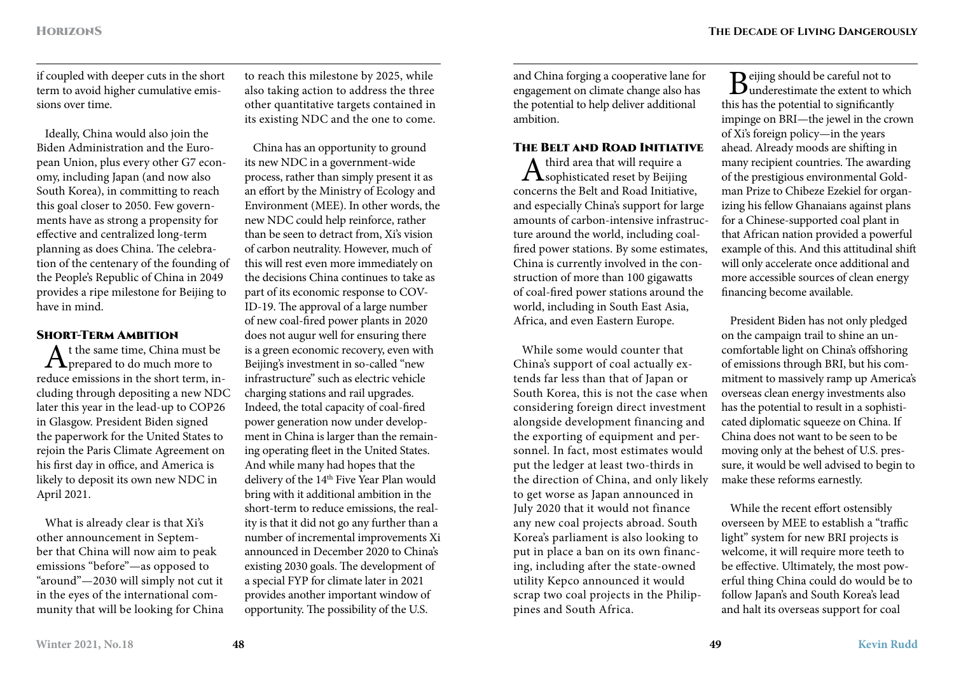if coupled with deeper cuts in the short term to avoid higher cumulative emissions over time.

Ideally, China would also join the Biden Administration and the European Union, plus every other G7 economy, including Japan (and now also South Korea), in committing to reach this goal closer to 2050. Few governments have as strong a propensity for effective and centralized long-term planning as does China. The celebration of the centenary of the founding of the People's Republic of China in 2049 provides a ripe milestone for Beijing to have in mind.

### SHORT-TERM AMBITION

 $A<sup>t</sup>$  the same time, China must be prepared to do much more to reduce emissions in the short term, including through depositing a new NDC later this year in the lead-up to COP26 in Glasgow. President Biden signed the paperwork for the United States to rejoin the Paris Climate Agreement on his first day in office, and America is likely to deposit its own new NDC in April 2021.

What is already clear is that Xi's other announcement in September that China will now aim to peak emissions "before"—as opposed to "around"—2030 will simply not cut it in the eyes of the international community that will be looking for China

to reach this milestone by 2025, while also taking action to address the three other quantitative targets contained in its existing NDC and the one to come.

China has an opportunity to ground its new NDC in a government-wide process, rather than simply present it as an effort by the Ministry of Ecology and Environment (MEE). In other words, the new NDC could help reinforce, rather than be seen to detract from, Xi's vision of carbon neutrality. However, much of this will rest even more immediately on the decisions China continues to take as part of its economic response to COV-ID-19. The approval of a large number of new coal-fired power plants in 2020 does not augur well for ensuring there is a green economic recovery, even with Beijing's investment in so-called "new infrastructure" such as electric vehicle charging stations and rail upgrades. Indeed, the total capacity of coal-fired power generation now under development in China is larger than the remaining operating fleet in the United States. And while many had hopes that the delivery of the 14<sup>th</sup> Five Year Plan would bring with it additional ambition in the short-term to reduce emissions, the reality is that it did not go any further than a number of incremental improvements Xi announced in December 2020 to China's existing 2030 goals. The development of a special FYP for climate later in 2021 provides another important window of opportunity. The possibility of the U.S.

and China forging a cooperative lane for engagement on climate change also has the potential to help deliver additional ambition.

THE BELT AND ROAD INITIATIVE<br> $\Lambda$  third area that will require a  $A<sup>third</sup>$  area that will require a sophisticated reset by Beijing concerns the Belt and Road Initiative, and especially China's support for large amounts of carbon-intensive infrastructure around the world, including coalfired power stations. By some estimates, China is currently involved in the construction of more than 100 gigawatts of coal-fired power stations around the world, including in South East Asia, Africa, and even Eastern Europe.

While some would counter that China's support of coal actually extends far less than that of Japan or South Korea, this is not the case when considering foreign direct investment alongside development financing and the exporting of equipment and personnel. In fact, most estimates would put the ledger at least two-thirds in the direction of China, and only likely to get worse as Japan announced in July 2020 that it would not finance any new coal projects abroad. South Korea's parliament is also looking to put in place a ban on its own financing, including after the state-owned utility Kepco announced it would scrap two coal projects in the Philippines and South Africa.

**D** eijing should be careful not to  $\mathbf{D}_{\text{underestimate}}$  the extent to which this has the potential to significantly impinge on BRI—the jewel in the crown of Xi's foreign policy—in the years ahead. Already moods are shifting in many recipient countries. The awarding of the prestigious environmental Goldman Prize to Chibeze Ezekiel for organizing his fellow Ghanaians against plans for a Chinese-supported coal plant in that African nation provided a powerful example of this. And this attitudinal shift will only accelerate once additional and more accessible sources of clean energy financing become available.

President Biden has not only pledged on the campaign trail to shine an uncomfortable light on China's offshoring of emissions through BRI, but his commitment to massively ramp up America's overseas clean energy investments also has the potential to result in a sophisticated diplomatic squeeze on China. If China does not want to be seen to be moving only at the behest of U.S. pressure, it would be well advised to begin to make these reforms earnestly.

While the recent effort ostensibly overseen by MEE to establish a "traffic light" system for new BRI projects is welcome, it will require more teeth to be effective. Ultimately, the most powerful thing China could do would be to follow Japan's and South Korea's lead and halt its overseas support for coal